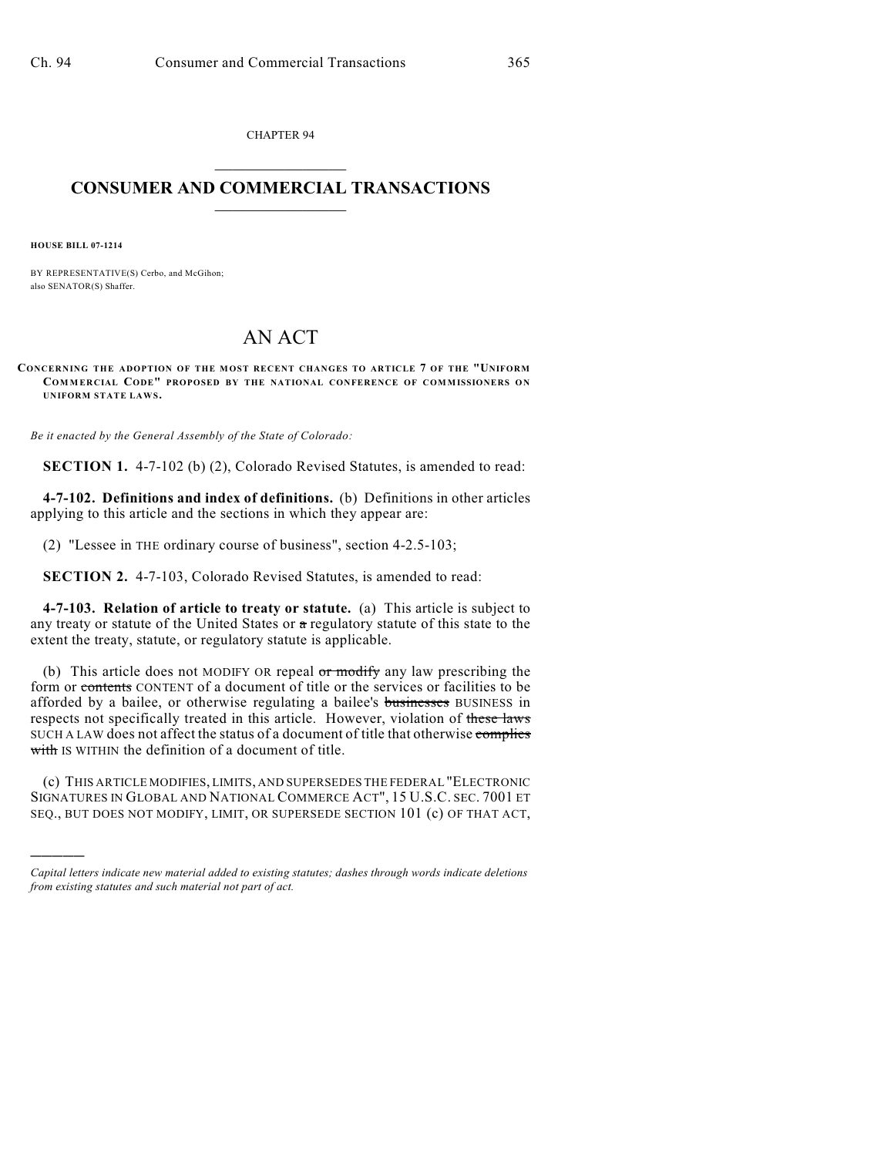CHAPTER 94  $\mathcal{L}_\text{max}$  . The set of the set of the set of the set of the set of the set of the set of the set of the set of the set of the set of the set of the set of the set of the set of the set of the set of the set of the set

## **CONSUMER AND COMMERCIAL TRANSACTIONS**  $\frac{1}{2}$  ,  $\frac{1}{2}$  ,  $\frac{1}{2}$  ,  $\frac{1}{2}$  ,  $\frac{1}{2}$  ,  $\frac{1}{2}$

**HOUSE BILL 07-1214**

)))))

BY REPRESENTATIVE(S) Cerbo, and McGihon; also SENATOR(S) Shaffer.

## AN ACT

**CONCERNING THE ADOPTION OF THE MOST RECENT CHANGES TO ARTICLE 7 OF THE "UNIFORM COM M ERCIAL CODE" PROPOSED BY THE NATIONAL CONFERENCE OF COMMISSIONERS ON UNIFORM STATE LAWS.** 

*Be it enacted by the General Assembly of the State of Colorado:*

**SECTION 1.** 4-7-102 (b) (2), Colorado Revised Statutes, is amended to read:

**4-7-102. Definitions and index of definitions.** (b) Definitions in other articles applying to this article and the sections in which they appear are:

(2) "Lessee in THE ordinary course of business", section 4-2.5-103;

**SECTION 2.** 4-7-103, Colorado Revised Statutes, is amended to read:

**4-7-103. Relation of article to treaty or statute.** (a) This article is subject to any treaty or statute of the United States or  $a$  regulatory statute of this state to the extent the treaty, statute, or regulatory statute is applicable.

(b) This article does not MODIFY OR repeal or modify any law prescribing the form or contents CONTENT of a document of title or the services or facilities to be afforded by a bailee, or otherwise regulating a bailee's businesses BUSINESS in respects not specifically treated in this article. However, violation of these laws SUCH A LAW does not affect the status of a document of title that otherwise complies with IS WITHIN the definition of a document of title.

(c) THIS ARTICLE MODIFIES, LIMITS, AND SUPERSEDES THE FEDERAL "ELECTRONIC SIGNATURES IN GLOBAL AND NATIONAL COMMERCE ACT", 15 U.S.C. SEC. 7001 ET SEQ., BUT DOES NOT MODIFY, LIMIT, OR SUPERSEDE SECTION 101 (c) OF THAT ACT,

*Capital letters indicate new material added to existing statutes; dashes through words indicate deletions from existing statutes and such material not part of act.*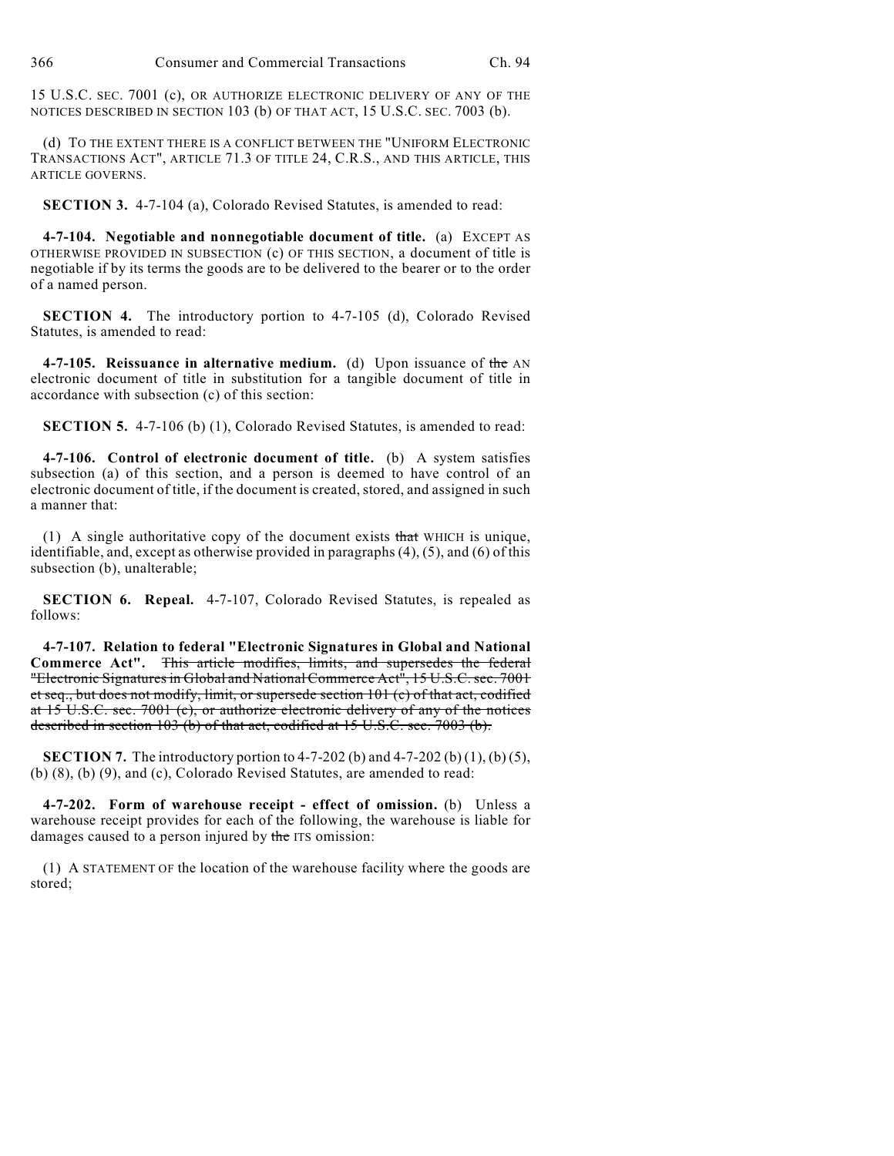15 U.S.C. SEC. 7001 (c), OR AUTHORIZE ELECTRONIC DELIVERY OF ANY OF THE NOTICES DESCRIBED IN SECTION 103 (b) OF THAT ACT, 15 U.S.C. SEC. 7003 (b).

(d) TO THE EXTENT THERE IS A CONFLICT BETWEEN THE "UNIFORM ELECTRONIC TRANSACTIONS ACT", ARTICLE 71.3 OF TITLE 24, C.R.S., AND THIS ARTICLE, THIS ARTICLE GOVERNS.

**SECTION 3.** 4-7-104 (a), Colorado Revised Statutes, is amended to read:

**4-7-104. Negotiable and nonnegotiable document of title.** (a) EXCEPT AS OTHERWISE PROVIDED IN SUBSECTION (c) OF THIS SECTION, a document of title is negotiable if by its terms the goods are to be delivered to the bearer or to the order of a named person.

**SECTION 4.** The introductory portion to 4-7-105 (d), Colorado Revised Statutes, is amended to read:

**4-7-105. Reissuance in alternative medium.** (d) Upon issuance of the AN electronic document of title in substitution for a tangible document of title in accordance with subsection (c) of this section:

**SECTION 5.** 4-7-106 (b) (1), Colorado Revised Statutes, is amended to read:

**4-7-106. Control of electronic document of title.** (b) A system satisfies subsection (a) of this section, and a person is deemed to have control of an electronic document of title, if the document is created, stored, and assigned in such a manner that:

(1) A single authoritative copy of the document exists that WHICH is unique, identifiable, and, except as otherwise provided in paragraphs (4), (5), and (6) of this subsection (b), unalterable;

**SECTION 6. Repeal.** 4-7-107, Colorado Revised Statutes, is repealed as follows:

**4-7-107. Relation to federal "Electronic Signatures in Global and National Commerce Act".** This article modifies, limits, and supersedes the federal "Electronic Signatures in Global and NationalCommerce Act", 15 U.S.C. sec. 7001 et seq., but does not modify, limit, or supersede section 101 (c) of that act, codified at 15 U.S.C. sec. 7001 (c), or authorize electronic delivery of any of the notices described in section 103 (b) of that act, codified at 15 U.S.C. sec. 7003 (b).

**SECTION 7.** The introductory portion to 4-7-202 (b) and 4-7-202 (b) (1), (b) (5), (b) (8), (b) (9), and (c), Colorado Revised Statutes, are amended to read:

**4-7-202. Form of warehouse receipt - effect of omission.** (b) Unless a warehouse receipt provides for each of the following, the warehouse is liable for damages caused to a person injured by the ITS omission:

(1) A STATEMENT OF the location of the warehouse facility where the goods are stored;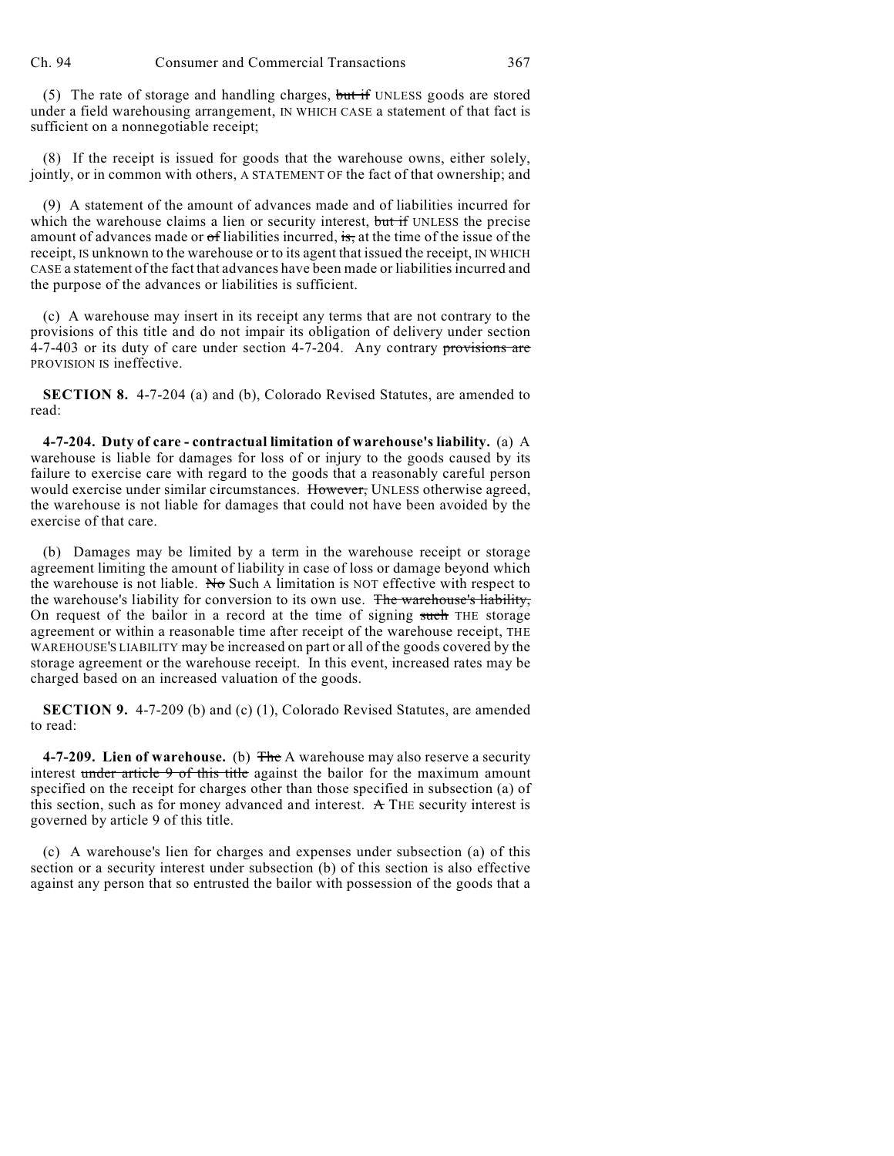(5) The rate of storage and handling charges, but if UNLESS goods are stored under a field warehousing arrangement, IN WHICH CASE a statement of that fact is sufficient on a nonnegotiable receipt;

(8) If the receipt is issued for goods that the warehouse owns, either solely, jointly, or in common with others, A STATEMENT OF the fact of that ownership; and

(9) A statement of the amount of advances made and of liabilities incurred for which the warehouse claims a lien or security interest, but if UNLESS the precise amount of advances made or of liabilities incurred, is, at the time of the issue of the receipt, IS unknown to the warehouse or to its agent that issued the receipt, IN WHICH CASE a statement of the fact that advances have been made or liabilities incurred and the purpose of the advances or liabilities is sufficient.

(c) A warehouse may insert in its receipt any terms that are not contrary to the provisions of this title and do not impair its obligation of delivery under section  $4-7-403$  or its duty of care under section  $4-7-204$ . Any contrary provisions are PROVISION IS ineffective.

**SECTION 8.** 4-7-204 (a) and (b), Colorado Revised Statutes, are amended to read:

**4-7-204. Duty of care - contractual limitation of warehouse's liability.** (a) A warehouse is liable for damages for loss of or injury to the goods caused by its failure to exercise care with regard to the goods that a reasonably careful person would exercise under similar circumstances. However, UNLESS otherwise agreed, the warehouse is not liable for damages that could not have been avoided by the exercise of that care.

(b) Damages may be limited by a term in the warehouse receipt or storage agreement limiting the amount of liability in case of loss or damage beyond which the warehouse is not liable. No Such A limitation is NOT effective with respect to the warehouse's liability for conversion to its own use. The warehouse's liability, On request of the bailor in a record at the time of signing such THE storage agreement or within a reasonable time after receipt of the warehouse receipt, THE WAREHOUSE'S LIABILITY may be increased on part or all of the goods covered by the storage agreement or the warehouse receipt. In this event, increased rates may be charged based on an increased valuation of the goods.

**SECTION 9.** 4-7-209 (b) and (c) (1), Colorado Revised Statutes, are amended to read:

**4-7-209. Lien of warehouse.** (b) The A warehouse may also reserve a security interest under article 9 of this title against the bailor for the maximum amount specified on the receipt for charges other than those specified in subsection (a) of this section, such as for money advanced and interest.  $A$  THE security interest is governed by article 9 of this title.

(c) A warehouse's lien for charges and expenses under subsection (a) of this section or a security interest under subsection (b) of this section is also effective against any person that so entrusted the bailor with possession of the goods that a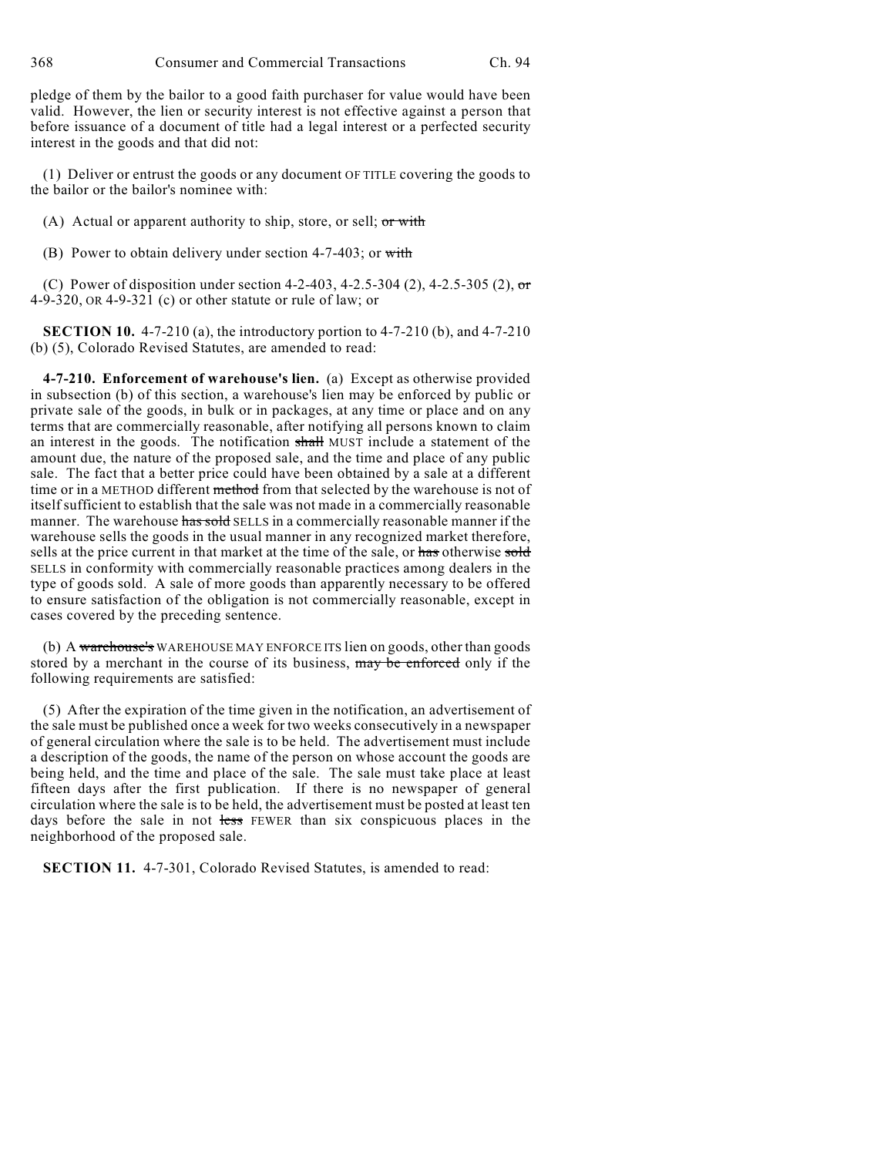368 Consumer and Commercial Transactions Ch. 94

pledge of them by the bailor to a good faith purchaser for value would have been valid. However, the lien or security interest is not effective against a person that before issuance of a document of title had a legal interest or a perfected security interest in the goods and that did not:

(1) Deliver or entrust the goods or any document OF TITLE covering the goods to the bailor or the bailor's nominee with:

(A) Actual or apparent authority to ship, store, or sell;  $or$  with

(B) Power to obtain delivery under section 4-7-403; or with

(C) Power of disposition under section 4-2-403, 4-2.5-304 (2), 4-2.5-305 (2), or 4-9-320, OR 4-9-321 (c) or other statute or rule of law; or

**SECTION 10.** 4-7-210 (a), the introductory portion to 4-7-210 (b), and 4-7-210 (b) (5), Colorado Revised Statutes, are amended to read:

**4-7-210. Enforcement of warehouse's lien.** (a) Except as otherwise provided in subsection (b) of this section, a warehouse's lien may be enforced by public or private sale of the goods, in bulk or in packages, at any time or place and on any terms that are commercially reasonable, after notifying all persons known to claim an interest in the goods. The notification shall MUST include a statement of the amount due, the nature of the proposed sale, and the time and place of any public sale. The fact that a better price could have been obtained by a sale at a different time or in a METHOD different method from that selected by the warehouse is not of itself sufficient to establish that the sale was not made in a commercially reasonable manner. The warehouse has sold SELLS in a commercially reasonable manner if the warehouse sells the goods in the usual manner in any recognized market therefore, sells at the price current in that market at the time of the sale, or has otherwise sold SELLS in conformity with commercially reasonable practices among dealers in the type of goods sold. A sale of more goods than apparently necessary to be offered to ensure satisfaction of the obligation is not commercially reasonable, except in cases covered by the preceding sentence.

(b) A warehouse's WAREHOUSE MAY ENFORCE ITS lien on goods, other than goods stored by a merchant in the course of its business, may be enforced only if the following requirements are satisfied:

(5) After the expiration of the time given in the notification, an advertisement of the sale must be published once a week for two weeks consecutively in a newspaper of general circulation where the sale is to be held. The advertisement must include a description of the goods, the name of the person on whose account the goods are being held, and the time and place of the sale. The sale must take place at least fifteen days after the first publication. If there is no newspaper of general circulation where the sale is to be held, the advertisement must be posted at least ten days before the sale in not less FEWER than six conspicuous places in the neighborhood of the proposed sale.

**SECTION 11.** 4-7-301, Colorado Revised Statutes, is amended to read: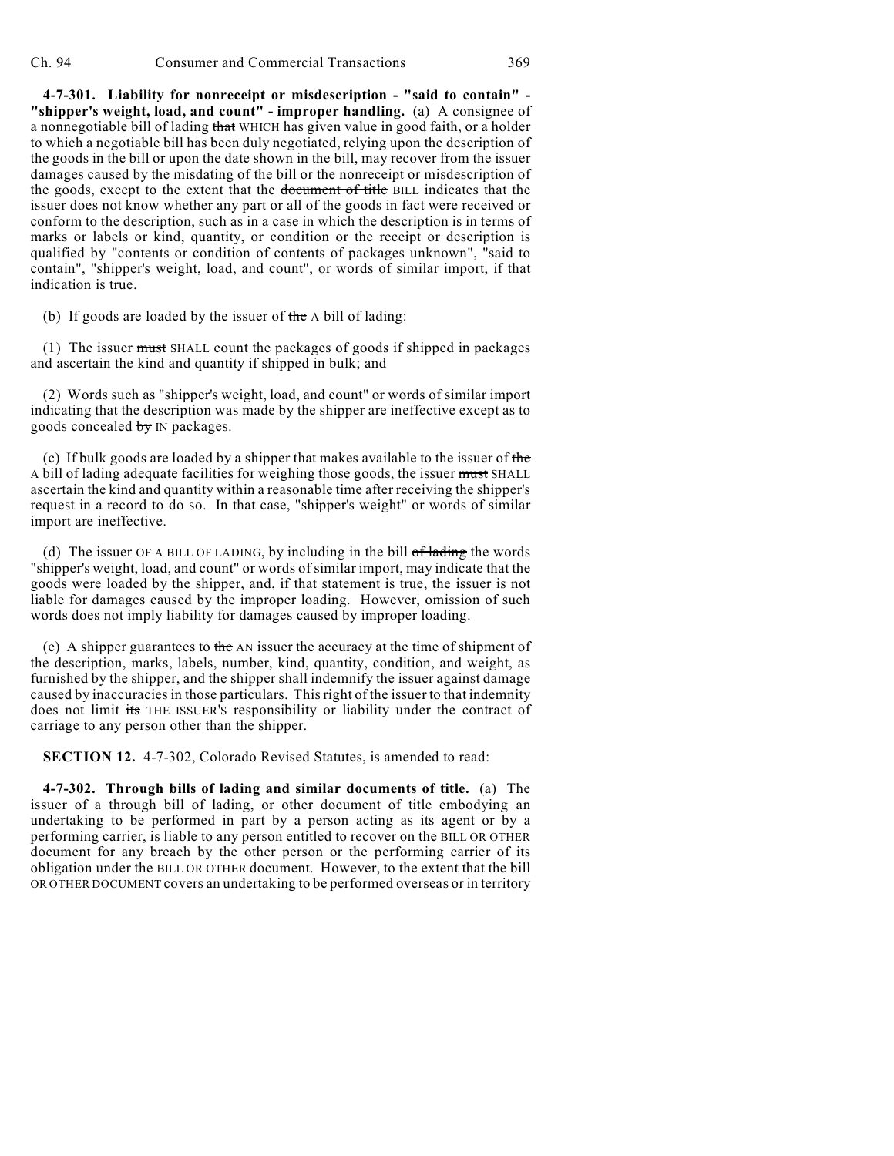**4-7-301. Liability for nonreceipt or misdescription - "said to contain" - "shipper's weight, load, and count" - improper handling.** (a) A consignee of a nonnegotiable bill of lading that WHICH has given value in good faith, or a holder to which a negotiable bill has been duly negotiated, relying upon the description of the goods in the bill or upon the date shown in the bill, may recover from the issuer damages caused by the misdating of the bill or the nonreceipt or misdescription of the goods, except to the extent that the document of title BILL indicates that the issuer does not know whether any part or all of the goods in fact were received or conform to the description, such as in a case in which the description is in terms of marks or labels or kind, quantity, or condition or the receipt or description is qualified by "contents or condition of contents of packages unknown", "said to contain", "shipper's weight, load, and count", or words of similar import, if that indication is true.

(b) If goods are loaded by the issuer of the  $\alpha$  bill of lading:

(1) The issuer must SHALL count the packages of goods if shipped in packages and ascertain the kind and quantity if shipped in bulk; and

(2) Words such as "shipper's weight, load, and count" or words of similar import indicating that the description was made by the shipper are ineffective except as to goods concealed by IN packages.

(c) If bulk goods are loaded by a shipper that makes available to the issuer of the A bill of lading adequate facilities for weighing those goods, the issuer must SHALL ascertain the kind and quantity within a reasonable time after receiving the shipper's request in a record to do so. In that case, "shipper's weight" or words of similar import are ineffective.

(d) The issuer OF A BILL OF LADING, by including in the bill  $of$  lading the words "shipper's weight, load, and count" or words of similar import, may indicate that the goods were loaded by the shipper, and, if that statement is true, the issuer is not liable for damages caused by the improper loading. However, omission of such words does not imply liability for damages caused by improper loading.

(e) A shipper guarantees to the AN issuer the accuracy at the time of shipment of the description, marks, labels, number, kind, quantity, condition, and weight, as furnished by the shipper, and the shipper shall indemnify the issuer against damage caused by inaccuracies in those particulars. This right of the issuer to that indemnity does not limit its THE ISSUER'S responsibility or liability under the contract of carriage to any person other than the shipper.

**SECTION 12.** 4-7-302, Colorado Revised Statutes, is amended to read:

**4-7-302. Through bills of lading and similar documents of title.** (a) The issuer of a through bill of lading, or other document of title embodying an undertaking to be performed in part by a person acting as its agent or by a performing carrier, is liable to any person entitled to recover on the BILL OR OTHER document for any breach by the other person or the performing carrier of its obligation under the BILL OR OTHER document. However, to the extent that the bill OR OTHER DOCUMENT covers an undertaking to be performed overseas or in territory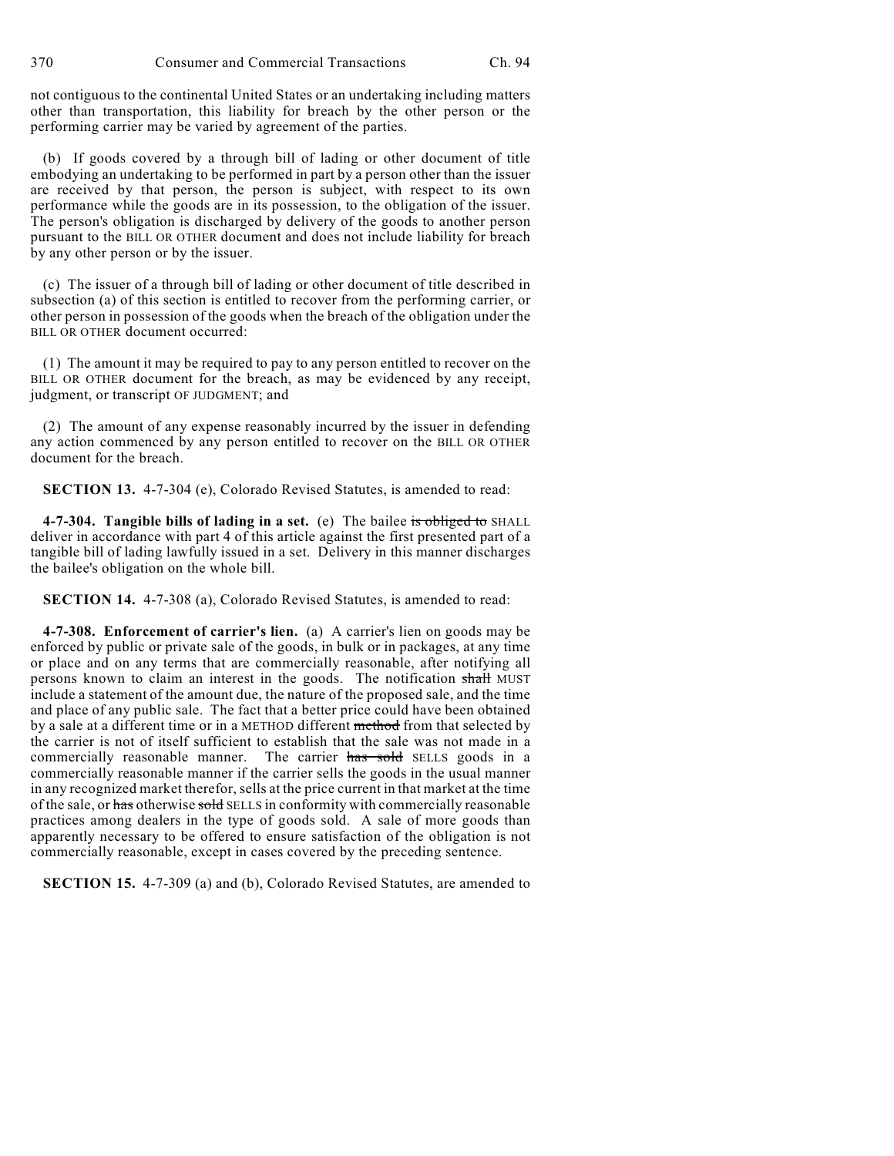not contiguous to the continental United States or an undertaking including matters other than transportation, this liability for breach by the other person or the performing carrier may be varied by agreement of the parties.

(b) If goods covered by a through bill of lading or other document of title embodying an undertaking to be performed in part by a person other than the issuer are received by that person, the person is subject, with respect to its own performance while the goods are in its possession, to the obligation of the issuer. The person's obligation is discharged by delivery of the goods to another person pursuant to the BILL OR OTHER document and does not include liability for breach by any other person or by the issuer.

(c) The issuer of a through bill of lading or other document of title described in subsection (a) of this section is entitled to recover from the performing carrier, or other person in possession of the goods when the breach of the obligation under the BILL OR OTHER document occurred:

(1) The amount it may be required to pay to any person entitled to recover on the BILL OR OTHER document for the breach, as may be evidenced by any receipt, judgment, or transcript OF JUDGMENT; and

(2) The amount of any expense reasonably incurred by the issuer in defending any action commenced by any person entitled to recover on the BILL OR OTHER document for the breach.

**SECTION 13.** 4-7-304 (e), Colorado Revised Statutes, is amended to read:

**4-7-304. Tangible bills of lading in a set.** (e) The bailee is obliged to SHALL deliver in accordance with part 4 of this article against the first presented part of a tangible bill of lading lawfully issued in a set. Delivery in this manner discharges the bailee's obligation on the whole bill.

**SECTION 14.** 4-7-308 (a), Colorado Revised Statutes, is amended to read:

**4-7-308. Enforcement of carrier's lien.** (a) A carrier's lien on goods may be enforced by public or private sale of the goods, in bulk or in packages, at any time or place and on any terms that are commercially reasonable, after notifying all persons known to claim an interest in the goods. The notification shall MUST include a statement of the amount due, the nature of the proposed sale, and the time and place of any public sale. The fact that a better price could have been obtained by a sale at a different time or in a METHOD different method from that selected by the carrier is not of itself sufficient to establish that the sale was not made in a commercially reasonable manner. The carrier has sold SELLS goods in a commercially reasonable manner if the carrier sells the goods in the usual manner in any recognized market therefor, sells at the price current in that market at the time of the sale, or has otherwise sold SELLS in conformity with commercially reasonable practices among dealers in the type of goods sold. A sale of more goods than apparently necessary to be offered to ensure satisfaction of the obligation is not commercially reasonable, except in cases covered by the preceding sentence.

**SECTION 15.** 4-7-309 (a) and (b), Colorado Revised Statutes, are amended to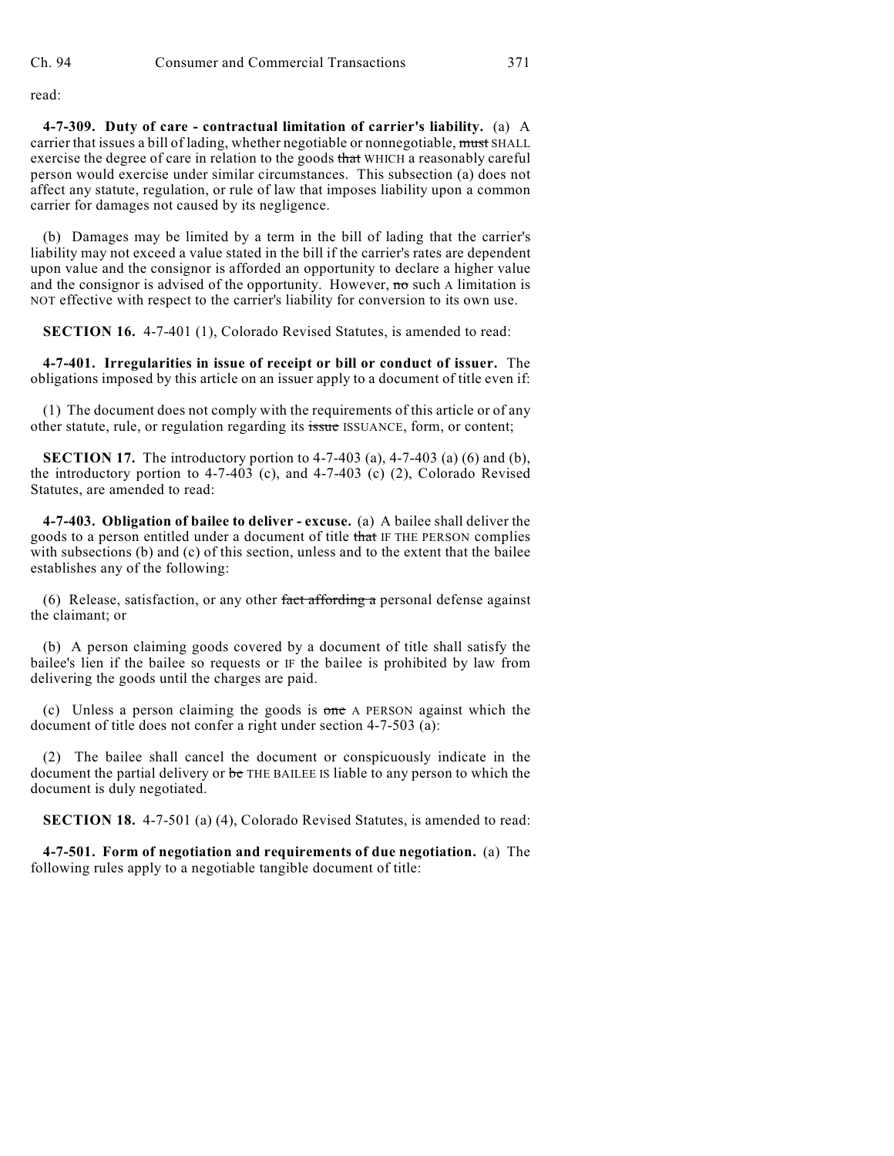read:

**4-7-309. Duty of care - contractual limitation of carrier's liability.** (a) A carrier that issues a bill of lading, whether negotiable or nonnegotiable, must SHALL exercise the degree of care in relation to the goods that WHICH a reasonably careful person would exercise under similar circumstances. This subsection (a) does not affect any statute, regulation, or rule of law that imposes liability upon a common carrier for damages not caused by its negligence.

(b) Damages may be limited by a term in the bill of lading that the carrier's liability may not exceed a value stated in the bill if the carrier's rates are dependent upon value and the consignor is afforded an opportunity to declare a higher value and the consignor is advised of the opportunity. However,  $\mathbf{r}$  as such A limitation is NOT effective with respect to the carrier's liability for conversion to its own use.

**SECTION 16.** 4-7-401 (1), Colorado Revised Statutes, is amended to read:

**4-7-401. Irregularities in issue of receipt or bill or conduct of issuer.** The obligations imposed by this article on an issuer apply to a document of title even if:

(1) The document does not comply with the requirements of this article or of any other statute, rule, or regulation regarding its issue ISSUANCE, form, or content;

**SECTION 17.** The introductory portion to 4-7-403 (a), 4-7-403 (a) (6) and (b), the introductory portion to  $4-7-403$  (c), and  $4-7-403$  (c) (2), Colorado Revised Statutes, are amended to read:

**4-7-403. Obligation of bailee to deliver - excuse.** (a) A bailee shall deliver the goods to a person entitled under a document of title that IF THE PERSON complies with subsections (b) and (c) of this section, unless and to the extent that the bailee establishes any of the following:

(6) Release, satisfaction, or any other fact affording a personal defense against the claimant; or

(b) A person claiming goods covered by a document of title shall satisfy the bailee's lien if the bailee so requests or IF the bailee is prohibited by law from delivering the goods until the charges are paid.

(c) Unless a person claiming the goods is one A PERSON against which the document of title does not confer a right under section 4-7-503 (a):

(2) The bailee shall cancel the document or conspicuously indicate in the document the partial delivery or be THE BAILEE IS liable to any person to which the document is duly negotiated.

**SECTION 18.** 4-7-501 (a) (4), Colorado Revised Statutes, is amended to read:

**4-7-501. Form of negotiation and requirements of due negotiation.** (a) The following rules apply to a negotiable tangible document of title: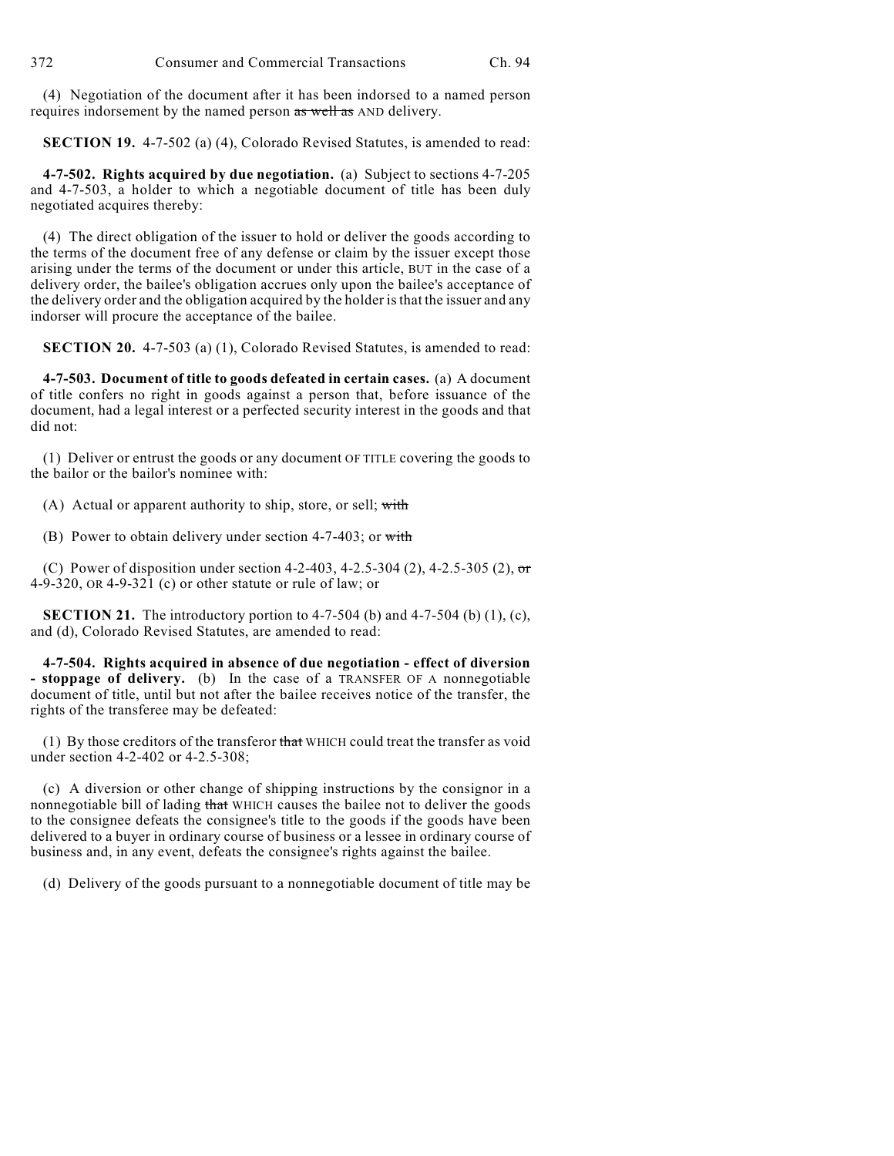(4) Negotiation of the document after it has been indorsed to a named person requires indorsement by the named person as well as AND delivery.

**SECTION 19.** 4-7-502 (a) (4), Colorado Revised Statutes, is amended to read:

**4-7-502. Rights acquired by due negotiation.** (a) Subject to sections 4-7-205 and 4-7-503, a holder to which a negotiable document of title has been duly negotiated acquires thereby:

(4) The direct obligation of the issuer to hold or deliver the goods according to the terms of the document free of any defense or claim by the issuer except those arising under the terms of the document or under this article, BUT in the case of a delivery order, the bailee's obligation accrues only upon the bailee's acceptance of the delivery order and the obligation acquired by the holder is that the issuer and any indorser will procure the acceptance of the bailee.

**SECTION 20.** 4-7-503 (a) (1), Colorado Revised Statutes, is amended to read:

**4-7-503. Document of title to goods defeated in certain cases.** (a) A document of title confers no right in goods against a person that, before issuance of the document, had a legal interest or a perfected security interest in the goods and that did not:

(1) Deliver or entrust the goods or any document OF TITLE covering the goods to the bailor or the bailor's nominee with:

(A) Actual or apparent authority to ship, store, or sell; with

(B) Power to obtain delivery under section 4-7-403; or with

(C) Power of disposition under section 4-2-403, 4-2.5-304 (2), 4-2.5-305 (2),  $\sigma$ 4-9-320, OR 4-9-321 (c) or other statute or rule of law; or

**SECTION 21.** The introductory portion to  $4-7-504$  (b) and  $4-7-504$  (b)  $(1)$ ,  $(c)$ , and (d), Colorado Revised Statutes, are amended to read:

**4-7-504. Rights acquired in absence of due negotiation - effect of diversion - stoppage of delivery.** (b) In the case of a TRANSFER OF A nonnegotiable document of title, until but not after the bailee receives notice of the transfer, the rights of the transferee may be defeated:

(1) By those creditors of the transferor that WHICH could treat the transfer as void under section 4-2-402 or 4-2.5-308;

(c) A diversion or other change of shipping instructions by the consignor in a nonnegotiable bill of lading that WHICH causes the bailee not to deliver the goods to the consignee defeats the consignee's title to the goods if the goods have been delivered to a buyer in ordinary course of business or a lessee in ordinary course of business and, in any event, defeats the consignee's rights against the bailee.

(d) Delivery of the goods pursuant to a nonnegotiable document of title may be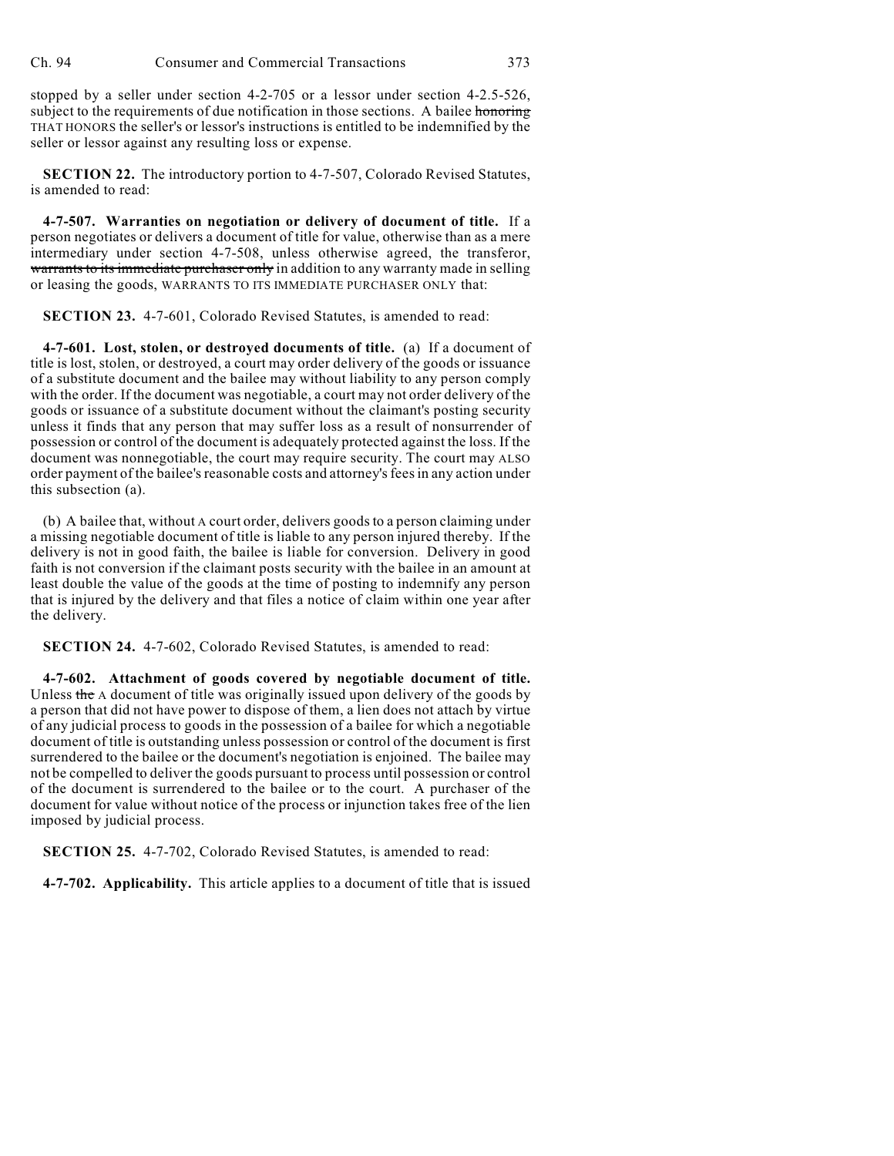stopped by a seller under section 4-2-705 or a lessor under section 4-2.5-526, subject to the requirements of due notification in those sections. A bailee honoring THAT HONORS the seller's or lessor's instructions is entitled to be indemnified by the seller or lessor against any resulting loss or expense.

**SECTION 22.** The introductory portion to 4-7-507, Colorado Revised Statutes, is amended to read:

**4-7-507. Warranties on negotiation or delivery of document of title.** If a person negotiates or delivers a document of title for value, otherwise than as a mere intermediary under section 4-7-508, unless otherwise agreed, the transferor, warrants to its immediate purchaser only in addition to any warranty made in selling or leasing the goods, WARRANTS TO ITS IMMEDIATE PURCHASER ONLY that:

**SECTION 23.** 4-7-601, Colorado Revised Statutes, is amended to read:

**4-7-601. Lost, stolen, or destroyed documents of title.** (a) If a document of title is lost, stolen, or destroyed, a court may order delivery of the goods or issuance of a substitute document and the bailee may without liability to any person comply with the order. If the document was negotiable, a court may not order delivery of the goods or issuance of a substitute document without the claimant's posting security unless it finds that any person that may suffer loss as a result of nonsurrender of possession or control of the document is adequately protected against the loss. If the document was nonnegotiable, the court may require security. The court may ALSO order payment of the bailee's reasonable costs and attorney's feesin any action under this subsection (a).

(b) A bailee that, without A court order, delivers goods to a person claiming under a missing negotiable document of title is liable to any person injured thereby. If the delivery is not in good faith, the bailee is liable for conversion. Delivery in good faith is not conversion if the claimant posts security with the bailee in an amount at least double the value of the goods at the time of posting to indemnify any person that is injured by the delivery and that files a notice of claim within one year after the delivery.

**SECTION 24.** 4-7-602, Colorado Revised Statutes, is amended to read:

**4-7-602. Attachment of goods covered by negotiable document of title.** Unless the A document of title was originally issued upon delivery of the goods by a person that did not have power to dispose of them, a lien does not attach by virtue of any judicial process to goods in the possession of a bailee for which a negotiable document of title is outstanding unless possession or control of the document is first surrendered to the bailee or the document's negotiation is enjoined. The bailee may not be compelled to deliver the goods pursuant to process until possession or control of the document is surrendered to the bailee or to the court. A purchaser of the document for value without notice of the process or injunction takes free of the lien imposed by judicial process.

**SECTION 25.** 4-7-702, Colorado Revised Statutes, is amended to read:

**4-7-702. Applicability.** This article applies to a document of title that is issued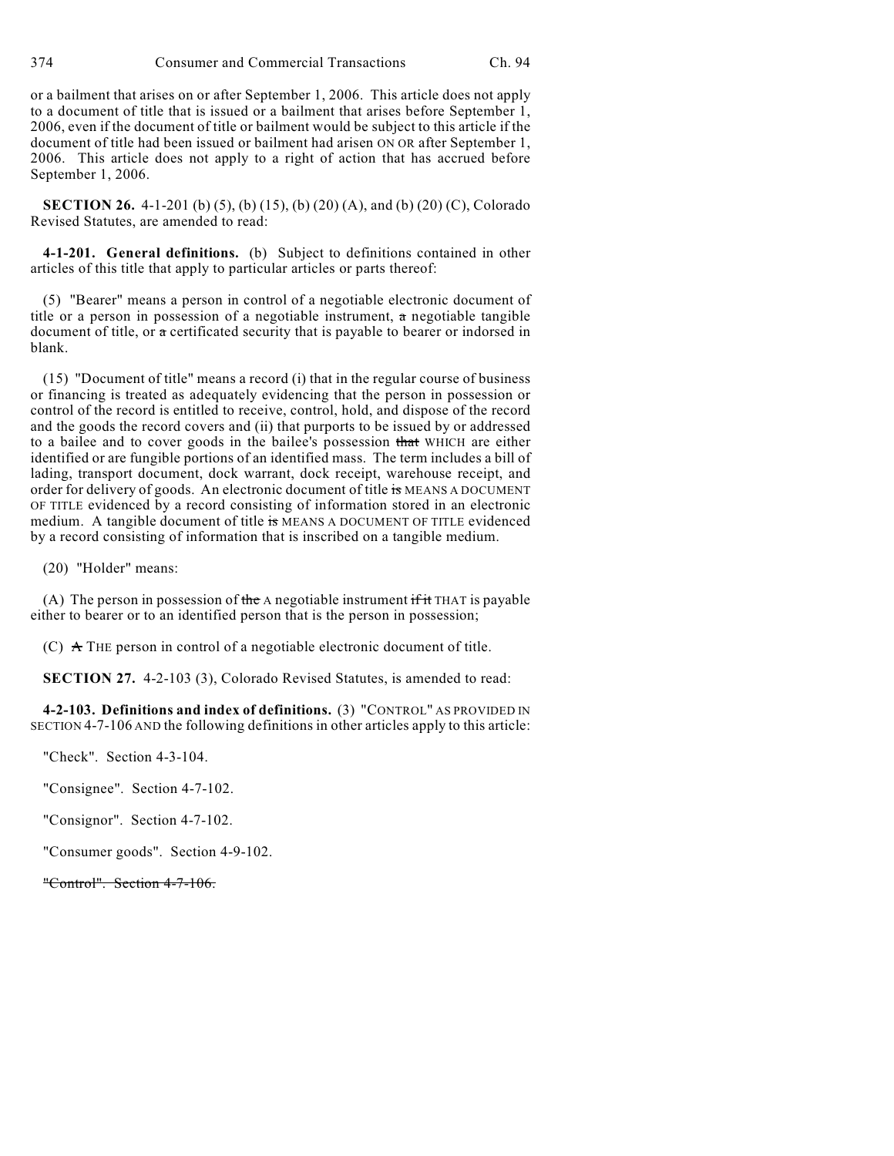or a bailment that arises on or after September 1, 2006. This article does not apply to a document of title that is issued or a bailment that arises before September 1, 2006, even if the document of title or bailment would be subject to this article if the document of title had been issued or bailment had arisen ON OR after September 1, 2006. This article does not apply to a right of action that has accrued before September 1, 2006.

**SECTION 26.** 4-1-201 (b) (5), (b) (15), (b) (20) (A), and (b) (20) (C), Colorado Revised Statutes, are amended to read:

**4-1-201. General definitions.** (b) Subject to definitions contained in other articles of this title that apply to particular articles or parts thereof:

(5) "Bearer" means a person in control of a negotiable electronic document of title or a person in possession of a negotiable instrument,  $\alpha$  negotiable tangible document of title, or a certificated security that is payable to bearer or indorsed in blank.

(15) "Document of title" means a record (i) that in the regular course of business or financing is treated as adequately evidencing that the person in possession or control of the record is entitled to receive, control, hold, and dispose of the record and the goods the record covers and (ii) that purports to be issued by or addressed to a bailee and to cover goods in the bailee's possession that WHICH are either identified or are fungible portions of an identified mass. The term includes a bill of lading, transport document, dock warrant, dock receipt, warehouse receipt, and order for delivery of goods. An electronic document of title is MEANS A DOCUMENT OF TITLE evidenced by a record consisting of information stored in an electronic medium. A tangible document of title is MEANS A DOCUMENT OF TITLE evidenced by a record consisting of information that is inscribed on a tangible medium.

(20) "Holder" means:

(A) The person in possession of the A negotiable instrument if it THAT is payable either to bearer or to an identified person that is the person in possession;

(C)  $\land$  THE person in control of a negotiable electronic document of title.

**SECTION 27.** 4-2-103 (3), Colorado Revised Statutes, is amended to read:

**4-2-103. Definitions and index of definitions.** (3) "CONTROL" AS PROVIDED IN SECTION 4-7-106 AND the following definitions in other articles apply to this article:

"Check". Section 4-3-104.

"Consignee". Section 4-7-102.

"Consignor". Section 4-7-102.

"Consumer goods". Section 4-9-102.

"Control". Section 4-7-106.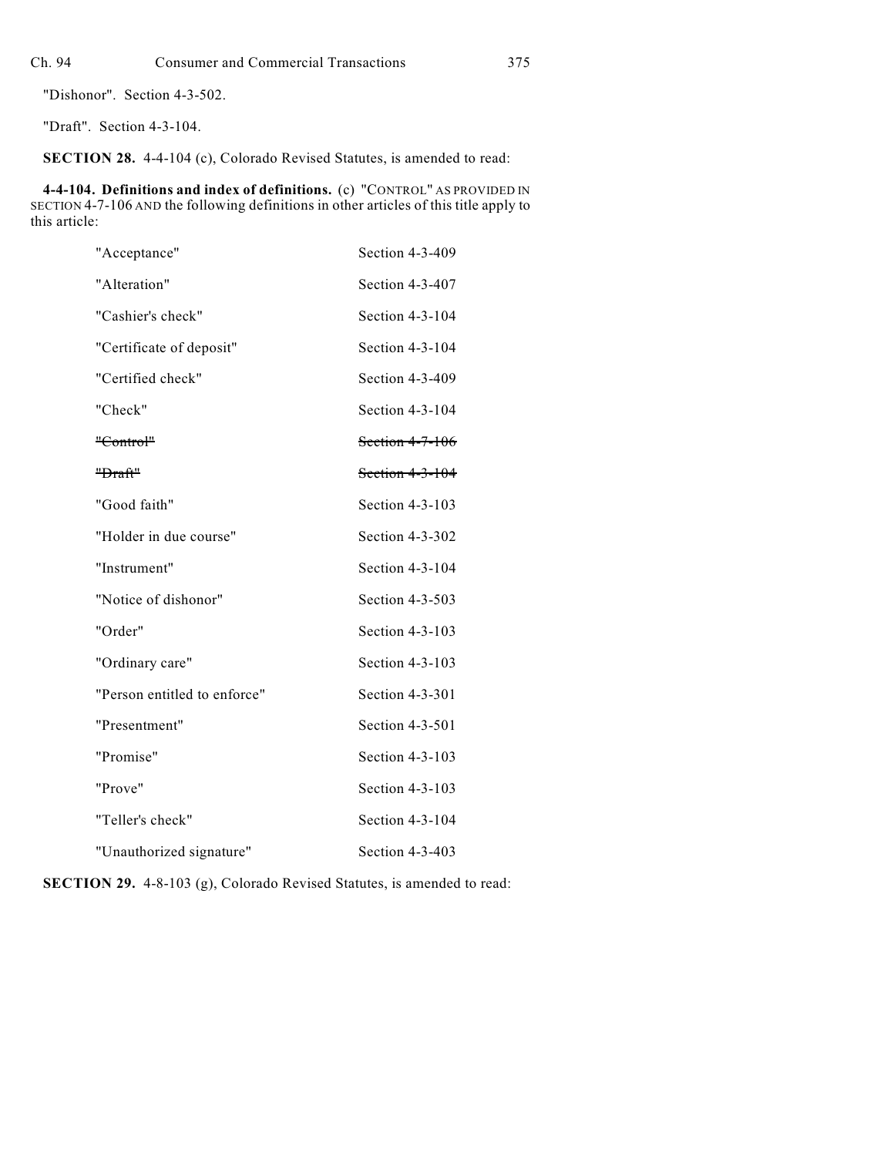"Dishonor". Section 4-3-502.

"Draft". Section 4-3-104.

**SECTION 28.** 4-4-104 (c), Colorado Revised Statutes, is amended to read:

**4-4-104. Definitions and index of definitions.** (c) "CONTROL" AS PROVIDED IN SECTION 4-7-106 AND the following definitions in other articles of this title apply to this article:

| "Acceptance"                 | Section 4-3-409   |
|------------------------------|-------------------|
| "Alteration"                 | Section 4-3-407   |
| "Cashier's check"            | Section 4-3-104   |
| "Certificate of deposit"     | Section 4-3-104   |
| "Certified check"            | Section 4-3-409   |
| "Check"                      | Section 4-3-104   |
| "Control"                    | Section 4-7-106   |
| "Draft"                      | Section $4-3-104$ |
| "Good faith"                 | Section 4-3-103   |
| "Holder in due course"       | Section 4-3-302   |
| "Instrument"                 | Section 4-3-104   |
| "Notice of dishonor"         | Section 4-3-503   |
| "Order"                      | Section 4-3-103   |
| "Ordinary care"              | Section 4-3-103   |
| "Person entitled to enforce" | Section 4-3-301   |
| "Presentment"                | Section 4-3-501   |
| "Promise"                    | Section 4-3-103   |
| "Prove"                      | Section 4-3-103   |
| "Teller's check"             | Section 4-3-104   |
| "Unauthorized signature"     | Section 4-3-403   |

**SECTION 29.** 4-8-103 (g), Colorado Revised Statutes, is amended to read: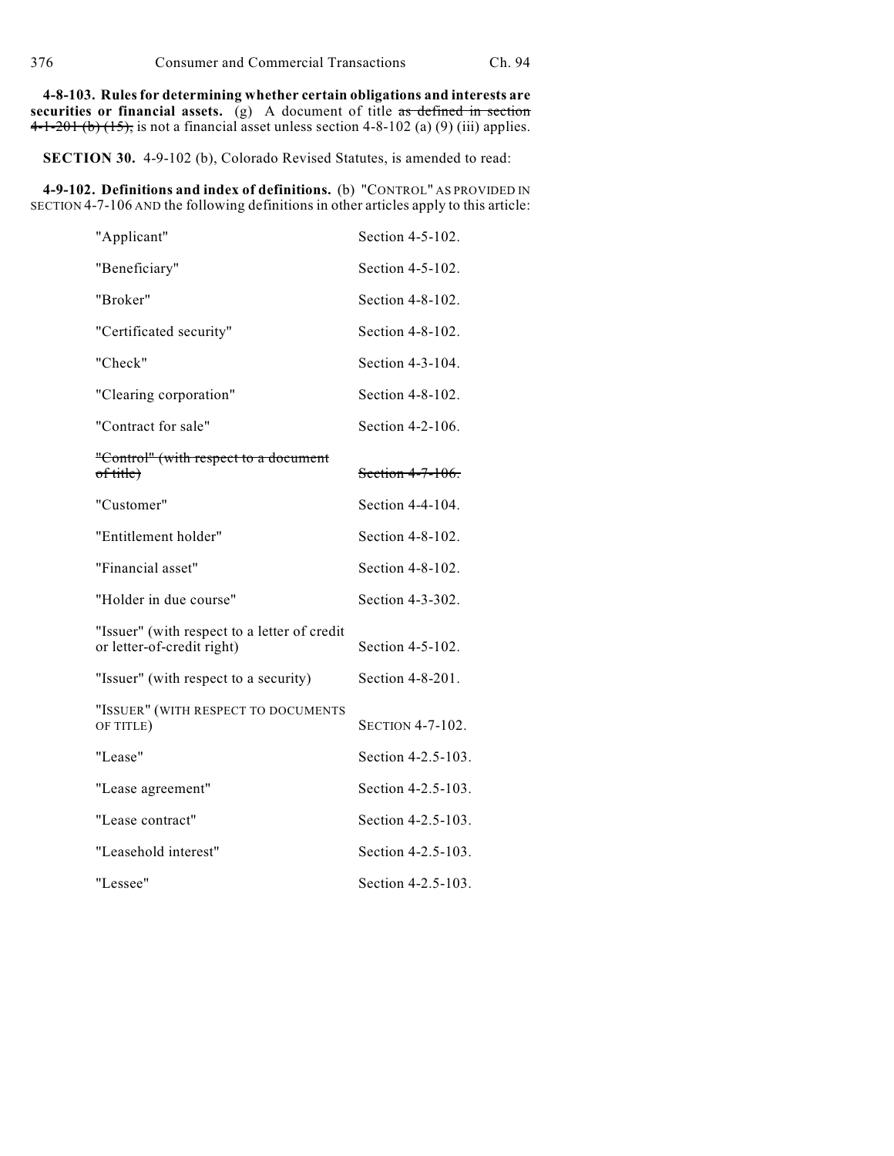**4-8-103. Rules for determining whether certain obligations and interests are** securities or financial assets. (g) A document of title as defined in section 4-1-201 (b)  $(15)$ , is not a financial asset unless section 4-8-102 (a) (9) (iii) applies.

**SECTION 30.** 4-9-102 (b), Colorado Revised Statutes, is amended to read:

**4-9-102. Definitions and index of definitions.** (b) "CONTROL" AS PROVIDED IN SECTION 4-7-106 AND the following definitions in other articles apply to this article:

| "Applicant"                                                                | Section 4-5-102.   |
|----------------------------------------------------------------------------|--------------------|
| "Beneficiary"                                                              | Section 4-5-102.   |
| "Broker"                                                                   | Section 4-8-102.   |
| "Certificated security"                                                    | Section 4-8-102.   |
| "Check"                                                                    | Section 4-3-104.   |
| "Clearing corporation"                                                     | Section 4-8-102.   |
| "Contract for sale"                                                        | Section 4-2-106.   |
| "Control" (with respect to a document<br>of title)                         | Section 4-7-106.   |
| "Customer"                                                                 | Section 4-4-104.   |
| "Entitlement holder"                                                       | Section 4-8-102.   |
| "Financial asset"                                                          | Section 4-8-102.   |
| "Holder in due course"                                                     | Section 4-3-302.   |
| "Issuer" (with respect to a letter of credit<br>or letter-of-credit right) | Section 4-5-102.   |
| "Issuer" (with respect to a security)                                      | Section 4-8-201.   |
| "ISSUER" (WITH RESPECT TO DOCUMENTS<br>OF TITLE)                           | SECTION 4-7-102.   |
| "Lease"                                                                    | Section 4-2.5-103. |
| "Lease agreement"                                                          | Section 4-2.5-103. |
| "Lease contract"                                                           | Section 4-2.5-103. |
| "Leasehold interest"                                                       | Section 4-2.5-103. |
| "Lessee"                                                                   | Section 4-2.5-103. |